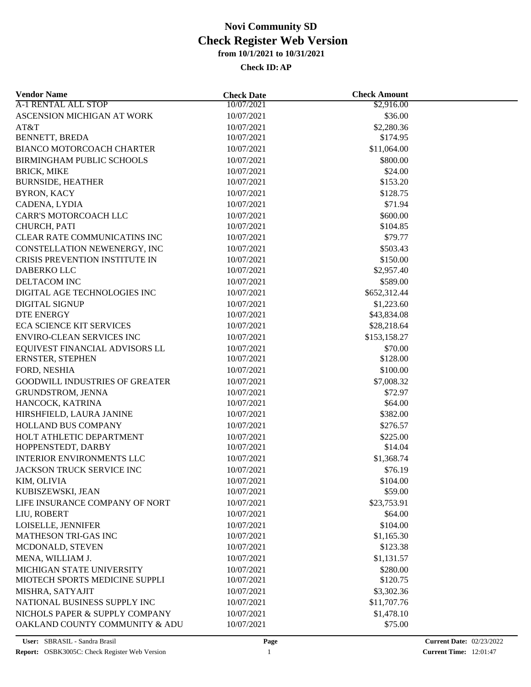| <b>Vendor Name</b>                    | <b>Check Date</b> | <b>Check Amount</b> |  |
|---------------------------------------|-------------------|---------------------|--|
| A-1 RENTAL ALL STOP                   | 10/07/2021        | \$2,916.00          |  |
| ASCENSION MICHIGAN AT WORK            | 10/07/2021        | \$36.00             |  |
| AT&T                                  | 10/07/2021        | \$2,280.36          |  |
| BENNETT, BREDA                        | 10/07/2021        | \$174.95            |  |
| BIANCO MOTORCOACH CHARTER             | 10/07/2021        | \$11,064.00         |  |
| BIRMINGHAM PUBLIC SCHOOLS             | 10/07/2021        | \$800.00            |  |
| <b>BRICK, MIKE</b>                    | 10/07/2021        | \$24.00             |  |
| <b>BURNSIDE, HEATHER</b>              | 10/07/2021        | \$153.20            |  |
| <b>BYRON, KACY</b>                    | 10/07/2021        | \$128.75            |  |
| CADENA, LYDIA                         | 10/07/2021        | \$71.94             |  |
| CARR'S MOTORCOACH LLC                 | 10/07/2021        | \$600.00            |  |
| CHURCH, PATI                          | 10/07/2021        | \$104.85            |  |
| CLEAR RATE COMMUNICATINS INC          | 10/07/2021        | \$79.77             |  |
| CONSTELLATION NEWENERGY, INC          | 10/07/2021        | \$503.43            |  |
| <b>CRISIS PREVENTION INSTITUTE IN</b> | 10/07/2021        | \$150.00            |  |
| DABERKO LLC                           | 10/07/2021        | \$2,957.40          |  |
| DELTACOM INC                          | 10/07/2021        | \$589.00            |  |
| DIGITAL AGE TECHNOLOGIES INC          | 10/07/2021        | \$652,312.44        |  |
| <b>DIGITAL SIGNUP</b>                 | 10/07/2021        | \$1,223.60          |  |
| <b>DTE ENERGY</b>                     | 10/07/2021        | \$43,834.08         |  |
|                                       |                   |                     |  |
| <b>ECA SCIENCE KIT SERVICES</b>       | 10/07/2021        | \$28,218.64         |  |
| ENVIRO-CLEAN SERVICES INC             | 10/07/2021        | \$153,158.27        |  |
| EQUIVEST FINANCIAL ADVISORS LL        | 10/07/2021        | \$70.00             |  |
| ERNSTER, STEPHEN                      | 10/07/2021        | \$128.00            |  |
| FORD, NESHIA                          | 10/07/2021        | \$100.00            |  |
| <b>GOODWILL INDUSTRIES OF GREATER</b> | 10/07/2021        | \$7,008.32          |  |
| GRUNDSTROM, JENNA                     | 10/07/2021        | \$72.97             |  |
| HANCOCK, KATRINA                      | 10/07/2021        | \$64.00             |  |
| HIRSHFIELD, LAURA JANINE              | 10/07/2021        | \$382.00            |  |
| HOLLAND BUS COMPANY                   | 10/07/2021        | \$276.57            |  |
| HOLT ATHLETIC DEPARTMENT              | 10/07/2021        | \$225.00            |  |
| HOPPENSTEDT, DARBY                    | 10/07/2021        | \$14.04             |  |
| <b>INTERIOR ENVIRONMENTS LLC</b>      | 10/07/2021        | \$1,368.74          |  |
| JACKSON TRUCK SERVICE INC             | 10/07/2021        | \$76.19             |  |
| KIM, OLIVIA                           | 10/07/2021        | \$104.00            |  |
| KUBISZEWSKI, JEAN                     | 10/07/2021        | \$59.00             |  |
| LIFE INSURANCE COMPANY OF NORT        | 10/07/2021        | \$23,753.91         |  |
| LIU, ROBERT                           | 10/07/2021        | \$64.00             |  |
| LOISELLE, JENNIFER                    | 10/07/2021        | \$104.00            |  |
| <b>MATHESON TRI-GAS INC</b>           | 10/07/2021        | \$1,165.30          |  |
| MCDONALD, STEVEN                      | 10/07/2021        | \$123.38            |  |
| MENA, WILLIAM J.                      | 10/07/2021        | \$1,131.57          |  |
| MICHIGAN STATE UNIVERSITY             | 10/07/2021        | \$280.00            |  |
| MIOTECH SPORTS MEDICINE SUPPLI        | 10/07/2021        | \$120.75            |  |
| MISHRA, SATYAJIT                      | 10/07/2021        | \$3,302.36          |  |
| NATIONAL BUSINESS SUPPLY INC          | 10/07/2021        | \$11,707.76         |  |
| NICHOLS PAPER & SUPPLY COMPANY        | 10/07/2021        | \$1,478.10          |  |
| OAKLAND COUNTY COMMUNITY & ADU        | 10/07/2021        | \$75.00             |  |
|                                       |                   |                     |  |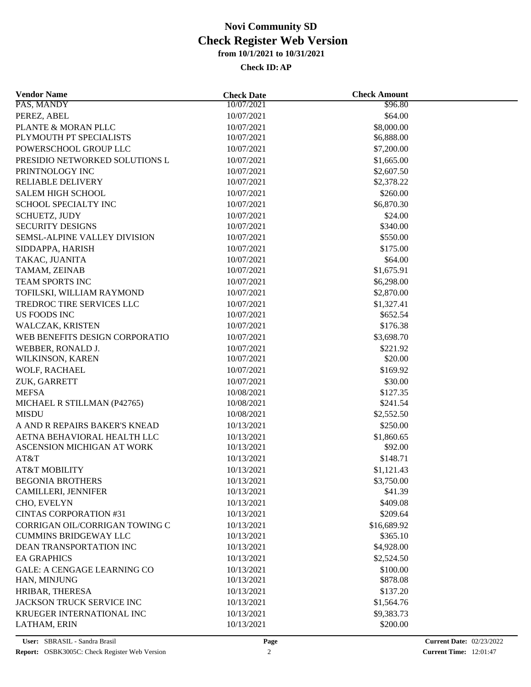| <b>Vendor Name</b>                 | <b>Check Date</b> | <b>Check Amount</b> |  |
|------------------------------------|-------------------|---------------------|--|
| PAS, MANDY                         | 10/07/2021        | \$96.80             |  |
| PEREZ, ABEL                        | 10/07/2021        | \$64.00             |  |
| PLANTE & MORAN PLLC                | 10/07/2021        | \$8,000.00          |  |
| PLYMOUTH PT SPECIALISTS            | 10/07/2021        | \$6,888.00          |  |
| POWERSCHOOL GROUP LLC              | 10/07/2021        | \$7,200.00          |  |
| PRESIDIO NETWORKED SOLUTIONS L     | 10/07/2021        | \$1,665.00          |  |
| PRINTNOLOGY INC                    | 10/07/2021        | \$2,607.50          |  |
| <b>RELIABLE DELIVERY</b>           | 10/07/2021        | \$2,378.22          |  |
| <b>SALEM HIGH SCHOOL</b>           | 10/07/2021        | \$260.00            |  |
| SCHOOL SPECIALTY INC               | 10/07/2021        | \$6,870.30          |  |
| SCHUETZ, JUDY                      | 10/07/2021        | \$24.00             |  |
| <b>SECURITY DESIGNS</b>            | 10/07/2021        | \$340.00            |  |
| SEMSL-ALPINE VALLEY DIVISION       | 10/07/2021        | \$550.00            |  |
| SIDDAPPA, HARISH                   | 10/07/2021        | \$175.00            |  |
| TAKAC, JUANITA                     | 10/07/2021        | \$64.00             |  |
| TAMAM, ZEINAB                      | 10/07/2021        | \$1,675.91          |  |
| TEAM SPORTS INC                    | 10/07/2021        | \$6,298.00          |  |
| TOFILSKI, WILLIAM RAYMOND          | 10/07/2021        | \$2,870.00          |  |
| TREDROC TIRE SERVICES LLC          | 10/07/2021        | \$1,327.41          |  |
| <b>US FOODS INC</b>                | 10/07/2021        | \$652.54            |  |
| WALCZAK, KRISTEN                   | 10/07/2021        | \$176.38            |  |
| WEB BENEFITS DESIGN CORPORATIO     | 10/07/2021        | \$3,698.70          |  |
| WEBBER, RONALD J.                  | 10/07/2021        | \$221.92            |  |
| WILKINSON, KAREN                   | 10/07/2021        | \$20.00             |  |
|                                    |                   | \$169.92            |  |
| WOLF, RACHAEL                      | 10/07/2021        |                     |  |
| ZUK, GARRETT                       | 10/07/2021        | \$30.00             |  |
| <b>MEFSA</b>                       | 10/08/2021        | \$127.35            |  |
| MICHAEL R STILLMAN (P42765)        | 10/08/2021        | \$241.54            |  |
| <b>MISDU</b>                       | 10/08/2021        | \$2,552.50          |  |
| A AND R REPAIRS BAKER'S KNEAD      | 10/13/2021        | \$250.00            |  |
| AETNA BEHAVIORAL HEALTH LLC        | 10/13/2021        | \$1,860.65          |  |
| ASCENSION MICHIGAN AT WORK         | 10/13/2021        | \$92.00             |  |
| AT&T                               | 10/13/2021        | \$148.71            |  |
| <b>AT&amp;T MOBILITY</b>           | 10/13/2021        | \$1,121.43          |  |
| <b>BEGONIA BROTHERS</b>            | 10/13/2021        | \$3,750.00          |  |
| <b>CAMILLERI, JENNIFER</b>         | 10/13/2021        | \$41.39             |  |
| CHO, EVELYN                        | 10/13/2021        | \$409.08            |  |
| <b>CINTAS CORPORATION #31</b>      | 10/13/2021        | \$209.64            |  |
| CORRIGAN OIL/CORRIGAN TOWING C     | 10/13/2021        | \$16,689.92         |  |
| <b>CUMMINS BRIDGEWAY LLC</b>       | 10/13/2021        | \$365.10            |  |
| DEAN TRANSPORTATION INC            | 10/13/2021        | \$4,928.00          |  |
| <b>EA GRAPHICS</b>                 | 10/13/2021        | \$2,524.50          |  |
| <b>GALE: A CENGAGE LEARNING CO</b> | 10/13/2021        | \$100.00            |  |
| HAN, MINJUNG                       | 10/13/2021        | \$878.08            |  |
| HRIBAR, THERESA                    | 10/13/2021        | \$137.20            |  |
| JACKSON TRUCK SERVICE INC          | 10/13/2021        | \$1,564.76          |  |
| KRUEGER INTERNATIONAL INC          | 10/13/2021        | \$9,383.73          |  |
| LATHAM, ERIN                       | 10/13/2021        | \$200.00            |  |
|                                    |                   |                     |  |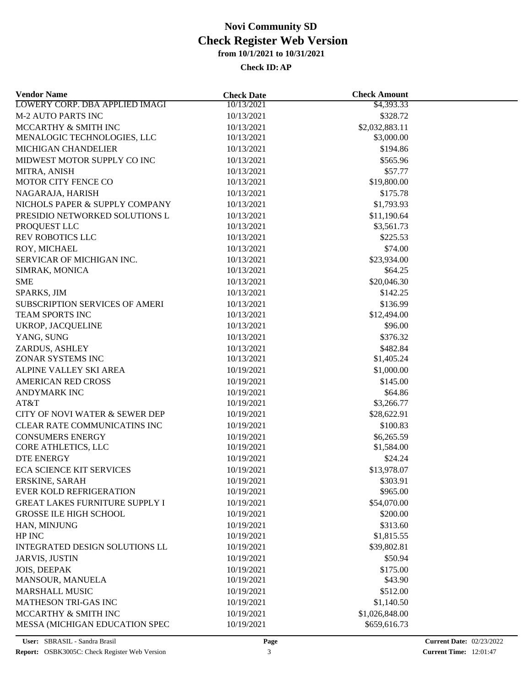| <b>Vendor Name</b>                    | <b>Check Date</b>        | <b>Check Amount</b> |  |
|---------------------------------------|--------------------------|---------------------|--|
| <b>LOWERY CORP. DBA APPLIED IMAGI</b> | 10/13/2021               | \$4,393.33          |  |
| <b>M-2 AUTO PARTS INC</b>             | 10/13/2021               | \$328.72            |  |
| MCCARTHY & SMITH INC                  | 10/13/2021               | \$2,032,883.11      |  |
| MENALOGIC TECHNOLOGIES, LLC           | 10/13/2021               | \$3,000.00          |  |
| MICHIGAN CHANDELIER                   | 10/13/2021               | \$194.86            |  |
| MIDWEST MOTOR SUPPLY CO INC           | 10/13/2021               | \$565.96            |  |
| MITRA, ANISH                          | 10/13/2021               | \$57.77             |  |
| MOTOR CITY FENCE CO                   | 10/13/2021               | \$19,800.00         |  |
| NAGARAJA, HARISH                      | 10/13/2021               | \$175.78            |  |
| NICHOLS PAPER & SUPPLY COMPANY        | 10/13/2021               | \$1,793.93          |  |
| PRESIDIO NETWORKED SOLUTIONS L        | 10/13/2021               | \$11,190.64         |  |
| PROQUEST LLC                          | 10/13/2021               | \$3,561.73          |  |
| <b>REV ROBOTICS LLC</b>               | 10/13/2021               | \$225.53            |  |
| ROY, MICHAEL                          | 10/13/2021               | \$74.00             |  |
| SERVICAR OF MICHIGAN INC.             | 10/13/2021               | \$23,934.00         |  |
| SIMRAK, MONICA                        | 10/13/2021               | \$64.25             |  |
| <b>SME</b>                            | 10/13/2021               | \$20,046.30         |  |
| SPARKS, JIM                           | 10/13/2021               | \$142.25            |  |
| SUBSCRIPTION SERVICES OF AMERI        |                          | \$136.99            |  |
| TEAM SPORTS INC                       | 10/13/2021<br>10/13/2021 | \$12,494.00         |  |
| UKROP, JACQUELINE                     | 10/13/2021               | \$96.00             |  |
|                                       |                          | \$376.32            |  |
| YANG, SUNG                            | 10/13/2021               |                     |  |
| ZARDUS, ASHLEY                        | 10/13/2021               | \$482.84            |  |
| ZONAR SYSTEMS INC                     | 10/13/2021               | \$1,405.24          |  |
| ALPINE VALLEY SKI AREA                | 10/19/2021               | \$1,000.00          |  |
| <b>AMERICAN RED CROSS</b>             | 10/19/2021               | \$145.00            |  |
| <b>ANDYMARK INC</b>                   | 10/19/2021               | \$64.86             |  |
| AT&T                                  | 10/19/2021               | \$3,266.77          |  |
| CITY OF NOVI WATER & SEWER DEP        | 10/19/2021               | \$28,622.91         |  |
| CLEAR RATE COMMUNICATINS INC          | 10/19/2021               | \$100.83            |  |
| <b>CONSUMERS ENERGY</b>               | 10/19/2021               | \$6,265.59          |  |
| CORE ATHLETICS, LLC                   | 10/19/2021               | \$1,584.00          |  |
| <b>DTE ENERGY</b>                     | 10/19/2021               | \$24.24             |  |
| <b>ECA SCIENCE KIT SERVICES</b>       | 10/19/2021               | \$13,978.07         |  |
| ERSKINE, SARAH                        | 10/19/2021               | \$303.91            |  |
| <b>EVER KOLD REFRIGERATION</b>        | 10/19/2021               | \$965.00            |  |
| <b>GREAT LAKES FURNITURE SUPPLY I</b> | 10/19/2021               | \$54,070.00         |  |
| <b>GROSSE ILE HIGH SCHOOL</b>         | 10/19/2021               | \$200.00            |  |
| HAN, MINJUNG                          | 10/19/2021               | \$313.60            |  |
| HP INC                                | 10/19/2021               | \$1,815.55          |  |
| INTEGRATED DESIGN SOLUTIONS LL        | 10/19/2021               | \$39,802.81         |  |
| <b>JARVIS, JUSTIN</b>                 | 10/19/2021               | \$50.94             |  |
| JOIS, DEEPAK                          | 10/19/2021               | \$175.00            |  |
| MANSOUR, MANUELA                      | 10/19/2021               | \$43.90             |  |
| <b>MARSHALL MUSIC</b>                 | 10/19/2021               | \$512.00            |  |
| <b>MATHESON TRI-GAS INC</b>           | 10/19/2021               | \$1,140.50          |  |
| MCCARTHY & SMITH INC                  | 10/19/2021               | \$1,026,848.00      |  |
| MESSA (MICHIGAN EDUCATION SPEC        | 10/19/2021               | \$659,616.73        |  |
|                                       |                          |                     |  |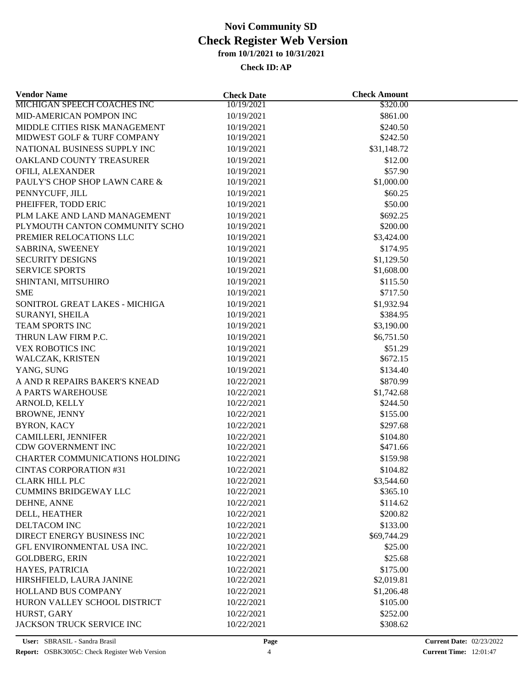| <b>MICHIGAN SPEECH COACHES INC</b><br>10/19/2021<br>\$320.00    |  |
|-----------------------------------------------------------------|--|
|                                                                 |  |
| MID-AMERICAN POMPON INC<br>\$861.00<br>10/19/2021               |  |
| MIDDLE CITIES RISK MANAGEMENT<br>10/19/2021<br>\$240.50         |  |
| MIDWEST GOLF & TURF COMPANY<br>\$242.50<br>10/19/2021           |  |
| NATIONAL BUSINESS SUPPLY INC<br>10/19/2021<br>\$31,148.72       |  |
| OAKLAND COUNTY TREASURER<br>10/19/2021<br>\$12.00               |  |
| OFILI, ALEXANDER<br>\$57.90<br>10/19/2021                       |  |
| PAULY'S CHOP SHOP LAWN CARE &<br>10/19/2021<br>\$1,000.00       |  |
| PENNYCUFF, JILL<br>\$60.25<br>10/19/2021                        |  |
| PHEIFFER, TODD ERIC<br>\$50.00<br>10/19/2021                    |  |
| \$692.25<br>PLM LAKE AND LAND MANAGEMENT<br>10/19/2021          |  |
| PLYMOUTH CANTON COMMUNITY SCHO<br>\$200.00<br>10/19/2021        |  |
| PREMIER RELOCATIONS LLC<br>10/19/2021<br>\$3,424.00             |  |
| SABRINA, SWEENEY<br>10/19/2021<br>\$174.95                      |  |
| <b>SECURITY DESIGNS</b><br>10/19/2021<br>\$1,129.50             |  |
| <b>SERVICE SPORTS</b><br>10/19/2021<br>\$1,608.00               |  |
| \$115.50<br>SHINTANI, MITSUHIRO<br>10/19/2021                   |  |
| <b>SME</b><br>\$717.50<br>10/19/2021                            |  |
| \$1,932.94<br>SONITROL GREAT LAKES - MICHIGA<br>10/19/2021      |  |
| \$384.95<br>SURANYI, SHEILA<br>10/19/2021                       |  |
| \$3,190.00<br><b>TEAM SPORTS INC</b><br>10/19/2021              |  |
| THRUN LAW FIRM P.C.<br>10/19/2021<br>\$6,751.50                 |  |
| <b>VEX ROBOTICS INC</b><br>\$51.29<br>10/19/2021                |  |
| \$672.15<br>WALCZAK, KRISTEN<br>10/19/2021                      |  |
| YANG, SUNG<br>10/19/2021<br>\$134.40                            |  |
| A AND R REPAIRS BAKER'S KNEAD<br>10/22/2021<br>\$870.99         |  |
| A PARTS WAREHOUSE<br>10/22/2021                                 |  |
| \$1,742.68<br>ARNOLD, KELLY<br>10/22/2021<br>\$244.50           |  |
| \$155.00                                                        |  |
| <b>BROWNE, JENNY</b><br>10/22/2021                              |  |
| <b>BYRON, KACY</b><br>10/22/2021<br>\$297.68                    |  |
| <b>CAMILLERI, JENNIFER</b><br>10/22/2021<br>\$104.80            |  |
| CDW GOVERNMENT INC<br>10/22/2021<br>\$471.66                    |  |
| <b>CHARTER COMMUNICATIONS HOLDING</b><br>\$159.98<br>10/22/2021 |  |
| <b>CINTAS CORPORATION #31</b><br>10/22/2021<br>\$104.82         |  |
| \$3,544.60<br><b>CLARK HILL PLC</b><br>10/22/2021               |  |
| <b>CUMMINS BRIDGEWAY LLC</b><br>10/22/2021<br>\$365.10          |  |
| \$114.62<br>DEHNE, ANNE<br>10/22/2021                           |  |
| DELL, HEATHER<br>10/22/2021<br>\$200.82                         |  |
| DELTACOM INC<br>\$133.00<br>10/22/2021                          |  |
| DIRECT ENERGY BUSINESS INC<br>10/22/2021<br>\$69,744.29         |  |
| GFL ENVIRONMENTAL USA INC.<br>10/22/2021<br>\$25.00             |  |
| \$25.68<br><b>GOLDBERG, ERIN</b><br>10/22/2021                  |  |
| HAYES, PATRICIA<br>\$175.00<br>10/22/2021                       |  |
| HIRSHFIELD, LAURA JANINE<br>10/22/2021<br>\$2,019.81            |  |
| <b>HOLLAND BUS COMPANY</b><br>10/22/2021<br>\$1,206.48          |  |
| HURON VALLEY SCHOOL DISTRICT<br>10/22/2021<br>\$105.00          |  |
| HURST, GARY<br>\$252.00<br>10/22/2021                           |  |
| JACKSON TRUCK SERVICE INC<br>\$308.62<br>10/22/2021             |  |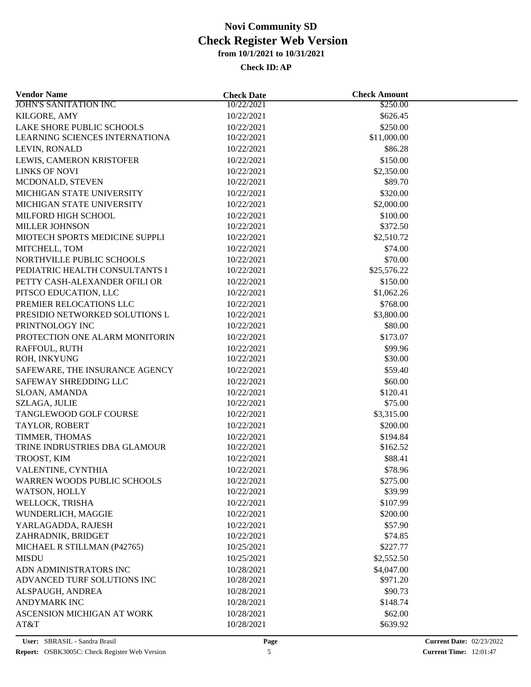| <b>Vendor Name</b>             | <b>Check Date</b> | <b>Check Amount</b> |  |
|--------------------------------|-------------------|---------------------|--|
| <b>JOHN'S SANITATION INC</b>   | 10/22/2021        | \$250.00            |  |
| KILGORE, AMY                   | 10/22/2021        | \$626.45            |  |
| LAKE SHORE PUBLIC SCHOOLS      | 10/22/2021        | \$250.00            |  |
| LEARNING SCIENCES INTERNATIONA | 10/22/2021        | \$11,000.00         |  |
| LEVIN, RONALD                  | 10/22/2021        | \$86.28             |  |
| LEWIS, CAMERON KRISTOFER       | 10/22/2021        | \$150.00            |  |
| LINKS OF NOVI                  | 10/22/2021        | \$2,350.00          |  |
| MCDONALD, STEVEN               | 10/22/2021        | \$89.70             |  |
| MICHIGAN STATE UNIVERSITY      | 10/22/2021        | \$320.00            |  |
| MICHIGAN STATE UNIVERSITY      | 10/22/2021        | \$2,000.00          |  |
| MILFORD HIGH SCHOOL            | 10/22/2021        | \$100.00            |  |
| <b>MILLER JOHNSON</b>          | 10/22/2021        | \$372.50            |  |
| MIOTECH SPORTS MEDICINE SUPPLI | 10/22/2021        | \$2,510.72          |  |
| MITCHELL, TOM                  | 10/22/2021        | \$74.00             |  |
| NORTHVILLE PUBLIC SCHOOLS      | 10/22/2021        | \$70.00             |  |
| PEDIATRIC HEALTH CONSULTANTS I | 10/22/2021        | \$25,576.22         |  |
| PETTY CASH-ALEXANDER OFILI OR  | 10/22/2021        | \$150.00            |  |
| PITSCO EDUCATION, LLC          | 10/22/2021        | \$1,062.26          |  |
| PREMIER RELOCATIONS LLC        | 10/22/2021        | \$768.00            |  |
| PRESIDIO NETWORKED SOLUTIONS L | 10/22/2021        | \$3,800.00          |  |
| PRINTNOLOGY INC                | 10/22/2021        | \$80.00             |  |
| PROTECTION ONE ALARM MONITORIN | 10/22/2021        | \$173.07            |  |
| RAFFOUL, RUTH                  | 10/22/2021        | \$99.96             |  |
| ROH, INKYUNG                   | 10/22/2021        | \$30.00             |  |
| SAFEWARE, THE INSURANCE AGENCY | 10/22/2021        | \$59.40             |  |
| SAFEWAY SHREDDING LLC          | 10/22/2021        | \$60.00             |  |
| SLOAN, AMANDA                  | 10/22/2021        | \$120.41            |  |
| SZLAGA, JULIE                  | 10/22/2021        | \$75.00             |  |
| TANGLEWOOD GOLF COURSE         | 10/22/2021        | \$3,315.00          |  |
| TAYLOR, ROBERT                 | 10/22/2021        | \$200.00            |  |
| TIMMER, THOMAS                 | 10/22/2021        | \$194.84            |  |
| TRINE INDRUSTRIES DBA GLAMOUR  | 10/22/2021        | \$162.52            |  |
| TROOST, KIM                    | 10/22/2021        | \$88.41             |  |
| VALENTINE, CYNTHIA             | 10/22/2021        | \$78.96             |  |
| WARREN WOODS PUBLIC SCHOOLS    | 10/22/2021        | \$275.00            |  |
| WATSON, HOLLY                  | 10/22/2021        | \$39.99             |  |
| WELLOCK, TRISHA                | 10/22/2021        | \$107.99            |  |
| WUNDERLICH, MAGGIE             | 10/22/2021        | \$200.00            |  |
| YARLAGADDA, RAJESH             | 10/22/2021        | \$57.90             |  |
| ZAHRADNIK, BRIDGET             | 10/22/2021        | \$74.85             |  |
| MICHAEL R STILLMAN (P42765)    | 10/25/2021        | \$227.77            |  |
| <b>MISDU</b>                   | 10/25/2021        | \$2,552.50          |  |
| ADN ADMINISTRATORS INC         | 10/28/2021        | \$4,047.00          |  |
| ADVANCED TURF SOLUTIONS INC    | 10/28/2021        | \$971.20            |  |
| ALSPAUGH, ANDREA               | 10/28/2021        | \$90.73             |  |
| <b>ANDYMARK INC</b>            | 10/28/2021        | \$148.74            |  |
| ASCENSION MICHIGAN AT WORK     | 10/28/2021        | \$62.00             |  |
| AT&T                           | 10/28/2021        | \$639.92            |  |
|                                |                   |                     |  |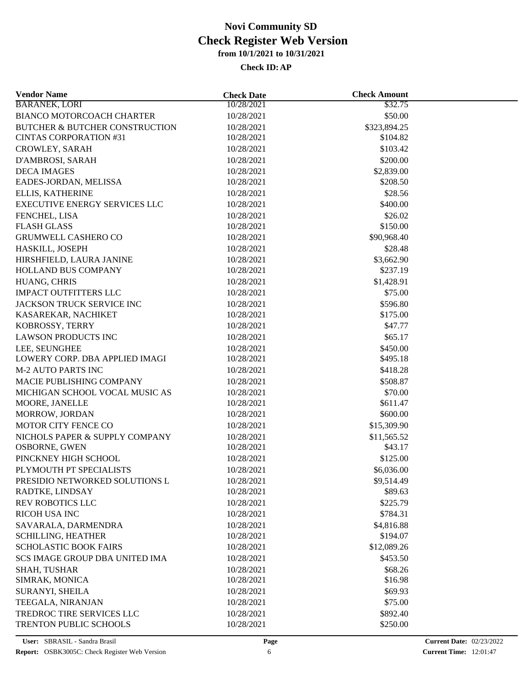| <b>BARANEK, LORI</b><br>10/28/2021<br>\$32.75<br>10/28/2021<br>\$50.00<br>10/28/2021<br>\$323,894.25<br>10/28/2021<br>\$104.82<br>\$103.42<br>10/28/2021<br>10/28/2021<br>\$200.00<br>10/28/2021<br>\$2,839.00<br>10/28/2021<br>\$208.50<br>\$28.56<br>10/28/2021<br>10/28/2021<br>\$400.00<br>FENCHEL, LISA<br>10/28/2021<br>\$26.02<br>10/28/2021<br>\$150.00<br><b>GRUMWELL CASHERO CO</b><br>10/28/2021<br>\$90,968.40<br>HASKILL, JOSEPH<br>10/28/2021<br>\$28.48<br>HIRSHFIELD, LAURA JANINE<br>10/28/2021<br>\$3,662.90<br>HOLLAND BUS COMPANY<br>10/28/2021<br>\$237.19<br>HUANG, CHRIS<br>10/28/2021<br>\$1,428.91<br><b>IMPACT OUTFITTERS LLC</b><br>\$75.00<br>10/28/2021<br>JACKSON TRUCK SERVICE INC<br>\$596.80<br>10/28/2021<br>10/28/2021<br>\$175.00<br>KASAREKAR, NACHIKET<br>KOBROSSY, TERRY<br>\$47.77<br>10/28/2021<br><b>LAWSON PRODUCTS INC</b><br>\$65.17<br>10/28/2021<br>\$450.00<br>LEE, SEUNGHEE<br>10/28/2021<br>LOWERY CORP. DBA APPLIED IMAGI<br>10/28/2021<br>\$495.18<br><b>M-2 AUTO PARTS INC</b><br>10/28/2021<br>\$418.28<br>MACIE PUBLISHING COMPANY<br>\$508.87<br>10/28/2021<br>MICHIGAN SCHOOL VOCAL MUSIC AS<br>10/28/2021<br>\$70.00<br>\$611.47<br>MOORE, JANELLE<br>10/28/2021<br>MORROW, JORDAN<br>10/28/2021<br>\$600.00<br>MOTOR CITY FENCE CO<br>10/28/2021<br>\$15,309.90<br>NICHOLS PAPER & SUPPLY COMPANY<br>10/28/2021<br>\$11,565.52<br>OSBORNE, GWEN<br>\$43.17<br>10/28/2021<br>PINCKNEY HIGH SCHOOL<br>\$125.00<br>10/28/2021<br>PLYMOUTH PT SPECIALISTS<br>10/28/2021<br>\$6,036.00<br>PRESIDIO NETWORKED SOLUTIONS L<br>10/28/2021<br>\$9,514.49<br>RADTKE, LINDSAY<br>10/28/2021<br>\$89.63<br>\$225.79<br><b>REV ROBOTICS LLC</b><br>10/28/2021<br>RICOH USA INC<br>10/28/2021<br>\$784.31<br>SAVARALA, DARMENDRA<br>10/28/2021<br>\$4,816.88<br><b>SCHILLING, HEATHER</b><br>10/28/2021<br>\$194.07<br><b>SCHOLASTIC BOOK FAIRS</b><br>10/28/2021<br>\$12,089.26<br><b>SCS IMAGE GROUP DBA UNITED IMA</b><br>\$453.50<br>10/28/2021<br>\$68.26<br>SHAH, TUSHAR<br>10/28/2021<br>SIMRAK, MONICA<br>10/28/2021<br>\$16.98<br>SURANYI, SHEILA<br>10/28/2021<br>\$69.93<br>10/28/2021<br>\$75.00<br>TREDROC TIRE SERVICES LLC<br>10/28/2021<br>\$892.40<br>TRENTON PUBLIC SCHOOLS<br>10/28/2021<br>\$250.00 | <b>Vendor Name</b>                        | <b>Check Date</b> | <b>Check Amount</b> |  |
|----------------------------------------------------------------------------------------------------------------------------------------------------------------------------------------------------------------------------------------------------------------------------------------------------------------------------------------------------------------------------------------------------------------------------------------------------------------------------------------------------------------------------------------------------------------------------------------------------------------------------------------------------------------------------------------------------------------------------------------------------------------------------------------------------------------------------------------------------------------------------------------------------------------------------------------------------------------------------------------------------------------------------------------------------------------------------------------------------------------------------------------------------------------------------------------------------------------------------------------------------------------------------------------------------------------------------------------------------------------------------------------------------------------------------------------------------------------------------------------------------------------------------------------------------------------------------------------------------------------------------------------------------------------------------------------------------------------------------------------------------------------------------------------------------------------------------------------------------------------------------------------------------------------------------------------------------------------------------------------------------------------------------------------------------------------------------------------------------------------------------------------------------------------------------------------------------------------------------------------------------------------------|-------------------------------------------|-------------------|---------------------|--|
|                                                                                                                                                                                                                                                                                                                                                                                                                                                                                                                                                                                                                                                                                                                                                                                                                                                                                                                                                                                                                                                                                                                                                                                                                                                                                                                                                                                                                                                                                                                                                                                                                                                                                                                                                                                                                                                                                                                                                                                                                                                                                                                                                                                                                                                                      |                                           |                   |                     |  |
|                                                                                                                                                                                                                                                                                                                                                                                                                                                                                                                                                                                                                                                                                                                                                                                                                                                                                                                                                                                                                                                                                                                                                                                                                                                                                                                                                                                                                                                                                                                                                                                                                                                                                                                                                                                                                                                                                                                                                                                                                                                                                                                                                                                                                                                                      | <b>BIANCO MOTORCOACH CHARTER</b>          |                   |                     |  |
|                                                                                                                                                                                                                                                                                                                                                                                                                                                                                                                                                                                                                                                                                                                                                                                                                                                                                                                                                                                                                                                                                                                                                                                                                                                                                                                                                                                                                                                                                                                                                                                                                                                                                                                                                                                                                                                                                                                                                                                                                                                                                                                                                                                                                                                                      | <b>BUTCHER &amp; BUTCHER CONSTRUCTION</b> |                   |                     |  |
|                                                                                                                                                                                                                                                                                                                                                                                                                                                                                                                                                                                                                                                                                                                                                                                                                                                                                                                                                                                                                                                                                                                                                                                                                                                                                                                                                                                                                                                                                                                                                                                                                                                                                                                                                                                                                                                                                                                                                                                                                                                                                                                                                                                                                                                                      | <b>CINTAS CORPORATION #31</b>             |                   |                     |  |
|                                                                                                                                                                                                                                                                                                                                                                                                                                                                                                                                                                                                                                                                                                                                                                                                                                                                                                                                                                                                                                                                                                                                                                                                                                                                                                                                                                                                                                                                                                                                                                                                                                                                                                                                                                                                                                                                                                                                                                                                                                                                                                                                                                                                                                                                      | CROWLEY, SARAH                            |                   |                     |  |
|                                                                                                                                                                                                                                                                                                                                                                                                                                                                                                                                                                                                                                                                                                                                                                                                                                                                                                                                                                                                                                                                                                                                                                                                                                                                                                                                                                                                                                                                                                                                                                                                                                                                                                                                                                                                                                                                                                                                                                                                                                                                                                                                                                                                                                                                      | D'AMBROSI, SARAH                          |                   |                     |  |
|                                                                                                                                                                                                                                                                                                                                                                                                                                                                                                                                                                                                                                                                                                                                                                                                                                                                                                                                                                                                                                                                                                                                                                                                                                                                                                                                                                                                                                                                                                                                                                                                                                                                                                                                                                                                                                                                                                                                                                                                                                                                                                                                                                                                                                                                      | <b>DECA IMAGES</b>                        |                   |                     |  |
|                                                                                                                                                                                                                                                                                                                                                                                                                                                                                                                                                                                                                                                                                                                                                                                                                                                                                                                                                                                                                                                                                                                                                                                                                                                                                                                                                                                                                                                                                                                                                                                                                                                                                                                                                                                                                                                                                                                                                                                                                                                                                                                                                                                                                                                                      | EADES-JORDAN, MELISSA                     |                   |                     |  |
|                                                                                                                                                                                                                                                                                                                                                                                                                                                                                                                                                                                                                                                                                                                                                                                                                                                                                                                                                                                                                                                                                                                                                                                                                                                                                                                                                                                                                                                                                                                                                                                                                                                                                                                                                                                                                                                                                                                                                                                                                                                                                                                                                                                                                                                                      | ELLIS, KATHERINE                          |                   |                     |  |
|                                                                                                                                                                                                                                                                                                                                                                                                                                                                                                                                                                                                                                                                                                                                                                                                                                                                                                                                                                                                                                                                                                                                                                                                                                                                                                                                                                                                                                                                                                                                                                                                                                                                                                                                                                                                                                                                                                                                                                                                                                                                                                                                                                                                                                                                      | EXECUTIVE ENERGY SERVICES LLC             |                   |                     |  |
|                                                                                                                                                                                                                                                                                                                                                                                                                                                                                                                                                                                                                                                                                                                                                                                                                                                                                                                                                                                                                                                                                                                                                                                                                                                                                                                                                                                                                                                                                                                                                                                                                                                                                                                                                                                                                                                                                                                                                                                                                                                                                                                                                                                                                                                                      |                                           |                   |                     |  |
|                                                                                                                                                                                                                                                                                                                                                                                                                                                                                                                                                                                                                                                                                                                                                                                                                                                                                                                                                                                                                                                                                                                                                                                                                                                                                                                                                                                                                                                                                                                                                                                                                                                                                                                                                                                                                                                                                                                                                                                                                                                                                                                                                                                                                                                                      | <b>FLASH GLASS</b>                        |                   |                     |  |
|                                                                                                                                                                                                                                                                                                                                                                                                                                                                                                                                                                                                                                                                                                                                                                                                                                                                                                                                                                                                                                                                                                                                                                                                                                                                                                                                                                                                                                                                                                                                                                                                                                                                                                                                                                                                                                                                                                                                                                                                                                                                                                                                                                                                                                                                      |                                           |                   |                     |  |
|                                                                                                                                                                                                                                                                                                                                                                                                                                                                                                                                                                                                                                                                                                                                                                                                                                                                                                                                                                                                                                                                                                                                                                                                                                                                                                                                                                                                                                                                                                                                                                                                                                                                                                                                                                                                                                                                                                                                                                                                                                                                                                                                                                                                                                                                      |                                           |                   |                     |  |
|                                                                                                                                                                                                                                                                                                                                                                                                                                                                                                                                                                                                                                                                                                                                                                                                                                                                                                                                                                                                                                                                                                                                                                                                                                                                                                                                                                                                                                                                                                                                                                                                                                                                                                                                                                                                                                                                                                                                                                                                                                                                                                                                                                                                                                                                      |                                           |                   |                     |  |
|                                                                                                                                                                                                                                                                                                                                                                                                                                                                                                                                                                                                                                                                                                                                                                                                                                                                                                                                                                                                                                                                                                                                                                                                                                                                                                                                                                                                                                                                                                                                                                                                                                                                                                                                                                                                                                                                                                                                                                                                                                                                                                                                                                                                                                                                      |                                           |                   |                     |  |
|                                                                                                                                                                                                                                                                                                                                                                                                                                                                                                                                                                                                                                                                                                                                                                                                                                                                                                                                                                                                                                                                                                                                                                                                                                                                                                                                                                                                                                                                                                                                                                                                                                                                                                                                                                                                                                                                                                                                                                                                                                                                                                                                                                                                                                                                      |                                           |                   |                     |  |
|                                                                                                                                                                                                                                                                                                                                                                                                                                                                                                                                                                                                                                                                                                                                                                                                                                                                                                                                                                                                                                                                                                                                                                                                                                                                                                                                                                                                                                                                                                                                                                                                                                                                                                                                                                                                                                                                                                                                                                                                                                                                                                                                                                                                                                                                      |                                           |                   |                     |  |
|                                                                                                                                                                                                                                                                                                                                                                                                                                                                                                                                                                                                                                                                                                                                                                                                                                                                                                                                                                                                                                                                                                                                                                                                                                                                                                                                                                                                                                                                                                                                                                                                                                                                                                                                                                                                                                                                                                                                                                                                                                                                                                                                                                                                                                                                      |                                           |                   |                     |  |
|                                                                                                                                                                                                                                                                                                                                                                                                                                                                                                                                                                                                                                                                                                                                                                                                                                                                                                                                                                                                                                                                                                                                                                                                                                                                                                                                                                                                                                                                                                                                                                                                                                                                                                                                                                                                                                                                                                                                                                                                                                                                                                                                                                                                                                                                      |                                           |                   |                     |  |
|                                                                                                                                                                                                                                                                                                                                                                                                                                                                                                                                                                                                                                                                                                                                                                                                                                                                                                                                                                                                                                                                                                                                                                                                                                                                                                                                                                                                                                                                                                                                                                                                                                                                                                                                                                                                                                                                                                                                                                                                                                                                                                                                                                                                                                                                      |                                           |                   |                     |  |
|                                                                                                                                                                                                                                                                                                                                                                                                                                                                                                                                                                                                                                                                                                                                                                                                                                                                                                                                                                                                                                                                                                                                                                                                                                                                                                                                                                                                                                                                                                                                                                                                                                                                                                                                                                                                                                                                                                                                                                                                                                                                                                                                                                                                                                                                      |                                           |                   |                     |  |
|                                                                                                                                                                                                                                                                                                                                                                                                                                                                                                                                                                                                                                                                                                                                                                                                                                                                                                                                                                                                                                                                                                                                                                                                                                                                                                                                                                                                                                                                                                                                                                                                                                                                                                                                                                                                                                                                                                                                                                                                                                                                                                                                                                                                                                                                      |                                           |                   |                     |  |
|                                                                                                                                                                                                                                                                                                                                                                                                                                                                                                                                                                                                                                                                                                                                                                                                                                                                                                                                                                                                                                                                                                                                                                                                                                                                                                                                                                                                                                                                                                                                                                                                                                                                                                                                                                                                                                                                                                                                                                                                                                                                                                                                                                                                                                                                      |                                           |                   |                     |  |
|                                                                                                                                                                                                                                                                                                                                                                                                                                                                                                                                                                                                                                                                                                                                                                                                                                                                                                                                                                                                                                                                                                                                                                                                                                                                                                                                                                                                                                                                                                                                                                                                                                                                                                                                                                                                                                                                                                                                                                                                                                                                                                                                                                                                                                                                      |                                           |                   |                     |  |
|                                                                                                                                                                                                                                                                                                                                                                                                                                                                                                                                                                                                                                                                                                                                                                                                                                                                                                                                                                                                                                                                                                                                                                                                                                                                                                                                                                                                                                                                                                                                                                                                                                                                                                                                                                                                                                                                                                                                                                                                                                                                                                                                                                                                                                                                      |                                           |                   |                     |  |
|                                                                                                                                                                                                                                                                                                                                                                                                                                                                                                                                                                                                                                                                                                                                                                                                                                                                                                                                                                                                                                                                                                                                                                                                                                                                                                                                                                                                                                                                                                                                                                                                                                                                                                                                                                                                                                                                                                                                                                                                                                                                                                                                                                                                                                                                      |                                           |                   |                     |  |
|                                                                                                                                                                                                                                                                                                                                                                                                                                                                                                                                                                                                                                                                                                                                                                                                                                                                                                                                                                                                                                                                                                                                                                                                                                                                                                                                                                                                                                                                                                                                                                                                                                                                                                                                                                                                                                                                                                                                                                                                                                                                                                                                                                                                                                                                      |                                           |                   |                     |  |
|                                                                                                                                                                                                                                                                                                                                                                                                                                                                                                                                                                                                                                                                                                                                                                                                                                                                                                                                                                                                                                                                                                                                                                                                                                                                                                                                                                                                                                                                                                                                                                                                                                                                                                                                                                                                                                                                                                                                                                                                                                                                                                                                                                                                                                                                      |                                           |                   |                     |  |
|                                                                                                                                                                                                                                                                                                                                                                                                                                                                                                                                                                                                                                                                                                                                                                                                                                                                                                                                                                                                                                                                                                                                                                                                                                                                                                                                                                                                                                                                                                                                                                                                                                                                                                                                                                                                                                                                                                                                                                                                                                                                                                                                                                                                                                                                      |                                           |                   |                     |  |
|                                                                                                                                                                                                                                                                                                                                                                                                                                                                                                                                                                                                                                                                                                                                                                                                                                                                                                                                                                                                                                                                                                                                                                                                                                                                                                                                                                                                                                                                                                                                                                                                                                                                                                                                                                                                                                                                                                                                                                                                                                                                                                                                                                                                                                                                      |                                           |                   |                     |  |
|                                                                                                                                                                                                                                                                                                                                                                                                                                                                                                                                                                                                                                                                                                                                                                                                                                                                                                                                                                                                                                                                                                                                                                                                                                                                                                                                                                                                                                                                                                                                                                                                                                                                                                                                                                                                                                                                                                                                                                                                                                                                                                                                                                                                                                                                      |                                           |                   |                     |  |
|                                                                                                                                                                                                                                                                                                                                                                                                                                                                                                                                                                                                                                                                                                                                                                                                                                                                                                                                                                                                                                                                                                                                                                                                                                                                                                                                                                                                                                                                                                                                                                                                                                                                                                                                                                                                                                                                                                                                                                                                                                                                                                                                                                                                                                                                      |                                           |                   |                     |  |
|                                                                                                                                                                                                                                                                                                                                                                                                                                                                                                                                                                                                                                                                                                                                                                                                                                                                                                                                                                                                                                                                                                                                                                                                                                                                                                                                                                                                                                                                                                                                                                                                                                                                                                                                                                                                                                                                                                                                                                                                                                                                                                                                                                                                                                                                      |                                           |                   |                     |  |
|                                                                                                                                                                                                                                                                                                                                                                                                                                                                                                                                                                                                                                                                                                                                                                                                                                                                                                                                                                                                                                                                                                                                                                                                                                                                                                                                                                                                                                                                                                                                                                                                                                                                                                                                                                                                                                                                                                                                                                                                                                                                                                                                                                                                                                                                      |                                           |                   |                     |  |
|                                                                                                                                                                                                                                                                                                                                                                                                                                                                                                                                                                                                                                                                                                                                                                                                                                                                                                                                                                                                                                                                                                                                                                                                                                                                                                                                                                                                                                                                                                                                                                                                                                                                                                                                                                                                                                                                                                                                                                                                                                                                                                                                                                                                                                                                      |                                           |                   |                     |  |
|                                                                                                                                                                                                                                                                                                                                                                                                                                                                                                                                                                                                                                                                                                                                                                                                                                                                                                                                                                                                                                                                                                                                                                                                                                                                                                                                                                                                                                                                                                                                                                                                                                                                                                                                                                                                                                                                                                                                                                                                                                                                                                                                                                                                                                                                      |                                           |                   |                     |  |
|                                                                                                                                                                                                                                                                                                                                                                                                                                                                                                                                                                                                                                                                                                                                                                                                                                                                                                                                                                                                                                                                                                                                                                                                                                                                                                                                                                                                                                                                                                                                                                                                                                                                                                                                                                                                                                                                                                                                                                                                                                                                                                                                                                                                                                                                      |                                           |                   |                     |  |
|                                                                                                                                                                                                                                                                                                                                                                                                                                                                                                                                                                                                                                                                                                                                                                                                                                                                                                                                                                                                                                                                                                                                                                                                                                                                                                                                                                                                                                                                                                                                                                                                                                                                                                                                                                                                                                                                                                                                                                                                                                                                                                                                                                                                                                                                      |                                           |                   |                     |  |
|                                                                                                                                                                                                                                                                                                                                                                                                                                                                                                                                                                                                                                                                                                                                                                                                                                                                                                                                                                                                                                                                                                                                                                                                                                                                                                                                                                                                                                                                                                                                                                                                                                                                                                                                                                                                                                                                                                                                                                                                                                                                                                                                                                                                                                                                      |                                           |                   |                     |  |
|                                                                                                                                                                                                                                                                                                                                                                                                                                                                                                                                                                                                                                                                                                                                                                                                                                                                                                                                                                                                                                                                                                                                                                                                                                                                                                                                                                                                                                                                                                                                                                                                                                                                                                                                                                                                                                                                                                                                                                                                                                                                                                                                                                                                                                                                      |                                           |                   |                     |  |
|                                                                                                                                                                                                                                                                                                                                                                                                                                                                                                                                                                                                                                                                                                                                                                                                                                                                                                                                                                                                                                                                                                                                                                                                                                                                                                                                                                                                                                                                                                                                                                                                                                                                                                                                                                                                                                                                                                                                                                                                                                                                                                                                                                                                                                                                      |                                           |                   |                     |  |
|                                                                                                                                                                                                                                                                                                                                                                                                                                                                                                                                                                                                                                                                                                                                                                                                                                                                                                                                                                                                                                                                                                                                                                                                                                                                                                                                                                                                                                                                                                                                                                                                                                                                                                                                                                                                                                                                                                                                                                                                                                                                                                                                                                                                                                                                      |                                           |                   |                     |  |
|                                                                                                                                                                                                                                                                                                                                                                                                                                                                                                                                                                                                                                                                                                                                                                                                                                                                                                                                                                                                                                                                                                                                                                                                                                                                                                                                                                                                                                                                                                                                                                                                                                                                                                                                                                                                                                                                                                                                                                                                                                                                                                                                                                                                                                                                      |                                           |                   |                     |  |
|                                                                                                                                                                                                                                                                                                                                                                                                                                                                                                                                                                                                                                                                                                                                                                                                                                                                                                                                                                                                                                                                                                                                                                                                                                                                                                                                                                                                                                                                                                                                                                                                                                                                                                                                                                                                                                                                                                                                                                                                                                                                                                                                                                                                                                                                      |                                           |                   |                     |  |
|                                                                                                                                                                                                                                                                                                                                                                                                                                                                                                                                                                                                                                                                                                                                                                                                                                                                                                                                                                                                                                                                                                                                                                                                                                                                                                                                                                                                                                                                                                                                                                                                                                                                                                                                                                                                                                                                                                                                                                                                                                                                                                                                                                                                                                                                      |                                           |                   |                     |  |
|                                                                                                                                                                                                                                                                                                                                                                                                                                                                                                                                                                                                                                                                                                                                                                                                                                                                                                                                                                                                                                                                                                                                                                                                                                                                                                                                                                                                                                                                                                                                                                                                                                                                                                                                                                                                                                                                                                                                                                                                                                                                                                                                                                                                                                                                      | TEEGALA, NIRANJAN                         |                   |                     |  |
|                                                                                                                                                                                                                                                                                                                                                                                                                                                                                                                                                                                                                                                                                                                                                                                                                                                                                                                                                                                                                                                                                                                                                                                                                                                                                                                                                                                                                                                                                                                                                                                                                                                                                                                                                                                                                                                                                                                                                                                                                                                                                                                                                                                                                                                                      |                                           |                   |                     |  |
|                                                                                                                                                                                                                                                                                                                                                                                                                                                                                                                                                                                                                                                                                                                                                                                                                                                                                                                                                                                                                                                                                                                                                                                                                                                                                                                                                                                                                                                                                                                                                                                                                                                                                                                                                                                                                                                                                                                                                                                                                                                                                                                                                                                                                                                                      |                                           |                   |                     |  |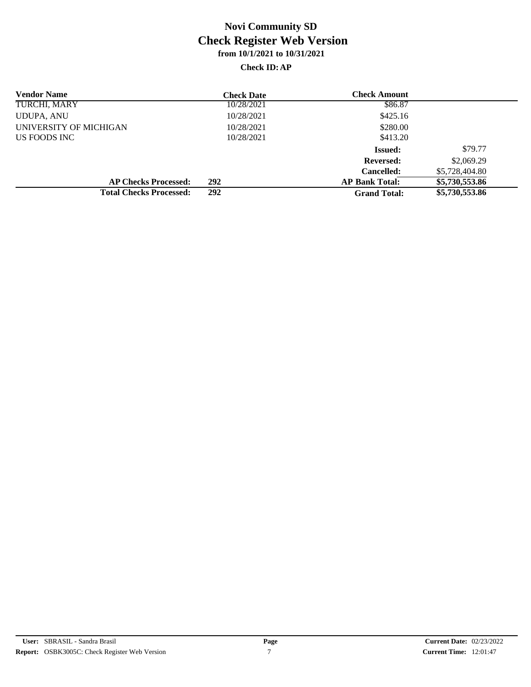| <b>Vendor Name</b>             | <b>Check Date</b> | <b>Check Amount</b>   |                |
|--------------------------------|-------------------|-----------------------|----------------|
| TURCHI, MARY                   | 10/28/2021        | \$86.87               |                |
| UDUPA, ANU                     | 10/28/2021        | \$425.16              |                |
| UNIVERSITY OF MICHIGAN         | 10/28/2021        | \$280.00              |                |
| US FOODS INC                   | 10/28/2021        | \$413.20              |                |
|                                |                   | <b>Issued:</b>        | \$79.77        |
|                                |                   | <b>Reversed:</b>      | \$2,069.29     |
|                                |                   | <b>Cancelled:</b>     | \$5,728,404.80 |
| <b>AP Checks Processed:</b>    | 292               | <b>AP Bank Total:</b> | \$5,730,553.86 |
| <b>Total Checks Processed:</b> | 292               | <b>Grand Total:</b>   | \$5,730,553.86 |